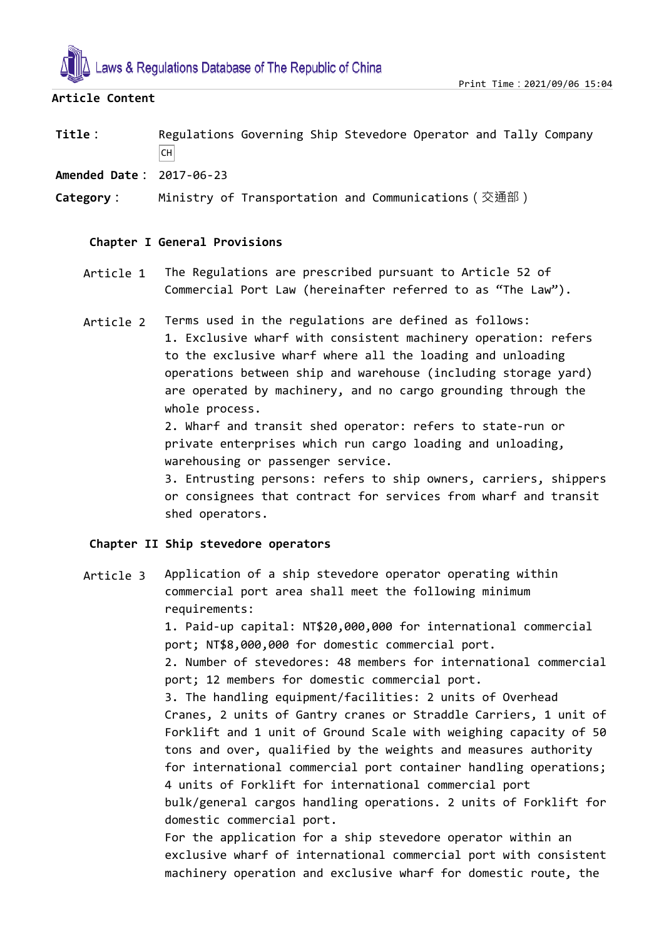

# **Article Content**

**Title:** Regulations Governing Ship Stevedore Operator and Tally Company  $|CH|$ 

**Amended Date:** 2017-06-23

**Category:** Ministry of Transportation and Communications(交通部)

# **Chapter I General Provisions**

- Article 1 The Regulations are prescribed pursuant to Article 52 of Commercial Port Law (hereinafter referred to as "The Law").
- Article 2 Terms used in the regulations are defined as follows: 1. Exclusive wharf with consistent machinery operation: refers to the exclusive wharf where all the loading and unloading operations between ship and warehouse (including storage yard) are operated by machinery, and no cargo grounding through the whole process.

2. Wharf and transit shed operator: refers to state-run or private enterprises which run cargo loading and unloading, warehousing or passenger service.

3. Entrusting persons: refers to ship owners, carriers, shippers or consignees that contract for services from wharf and transit shed operators.

#### **Chapter II Ship stevedore operators**

Article 3 Application of a ship stevedore operator operating within commercial port area shall meet the following minimum requirements: 1. Paid-up capital: NT\$20,000,000 for international commercial port; NT\$8,000,000 for domestic commercial port. 2. Number of stevedores: 48 members for international commercial port; 12 members for domestic commercial port. 3. The handling equipment/facilities: 2 units of Overhead Cranes, 2 units of Gantry cranes or Straddle Carriers, 1 unit of Forklift and 1 unit of Ground Scale with weighing capacity of 50 tons and over, qualified by the weights and measures authority for international commercial port container handling operations; 4 units of Forklift for international commercial port bulk/general cargos handling operations. 2 units of Forklift for domestic commercial port. For the application for a ship stevedore operator within an exclusive wharf of international commercial port with consistent machinery operation and exclusive wharf for domestic route, the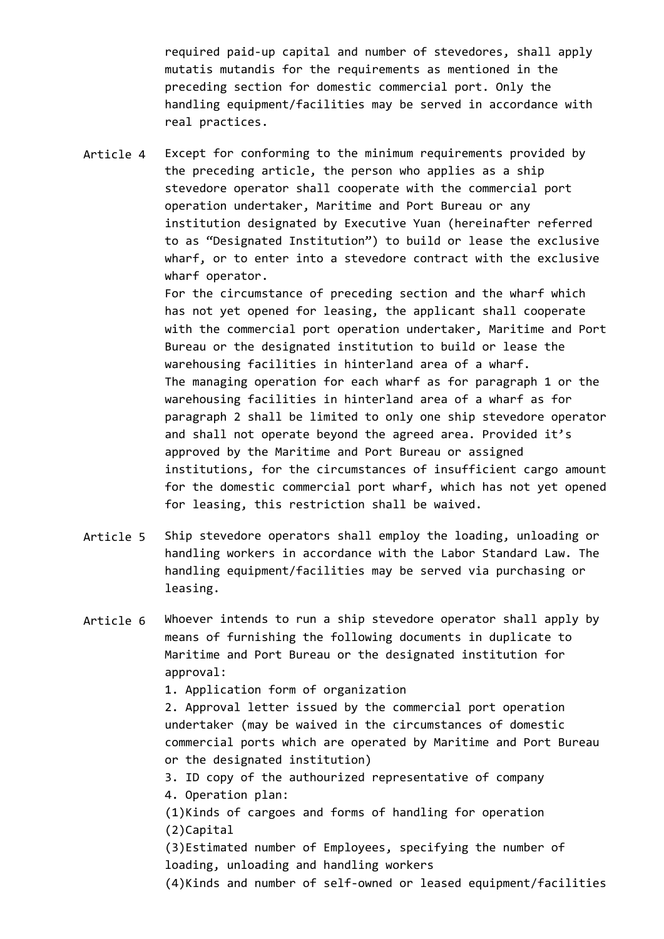required paid-up capital and number of stevedores, shall apply mutatis mutandis for the requirements as mentioned in the preceding section for domestic commercial port. Only the handling equipment/facilities may be served in accordance with real practices.

Article 4 Except for conforming to the minimum requirements provided by the preceding article, the person who applies as a ship stevedore operator shall cooperate with the commercial port operation undertaker, Maritime and Port Bureau or any institution designated by Executive Yuan (hereinafter referred to as "Designated Institution") to build or lease the exclusive wharf, or to enter into a stevedore contract with the exclusive wharf operator.

> For the circumstance of preceding section and the wharf which has not yet opened for leasing, the applicant shall cooperate with the commercial port operation undertaker, Maritime and Port Bureau or the designated institution to build or lease the warehousing facilities in hinterland area of a wharf. The managing operation for each wharf as for paragraph 1 or the warehousing facilities in hinterland area of a wharf as for paragraph 2 shall be limited to only one ship stevedore operator and shall not operate beyond the agreed area. Provided it's approved by the Maritime and Port Bureau or assigned institutions, for the circumstances of insufficient cargo amount for the domestic commercial port wharf, which has not yet opened for leasing, this restriction shall be waived.

- Article 5 Ship stevedore operators shall employ the loading, unloading or handling workers in accordance with the Labor Standard Law. The handling equipment/facilities may be served via purchasing or leasing.
- Article 6 Whoever intends to run a ship stevedore operator shall apply by means of furnishing the following documents in duplicate to Maritime and Port Bureau or the designated institution for approval: 1. Application form of organization 2. Approval letter issued by the commercial port operation undertaker (may be waived in the circumstances of domestic commercial ports which are operated by Maritime and Port Bureau or the designated institution) 3. ID copy of the authourized representative of company 4. Operation plan: (1)Kinds of cargoes and forms of handling for operation (2)Capital (3)Estimated number of Employees, specifying the number of loading, unloading and handling workers (4)Kinds and number of self-owned or leased equipment/facilities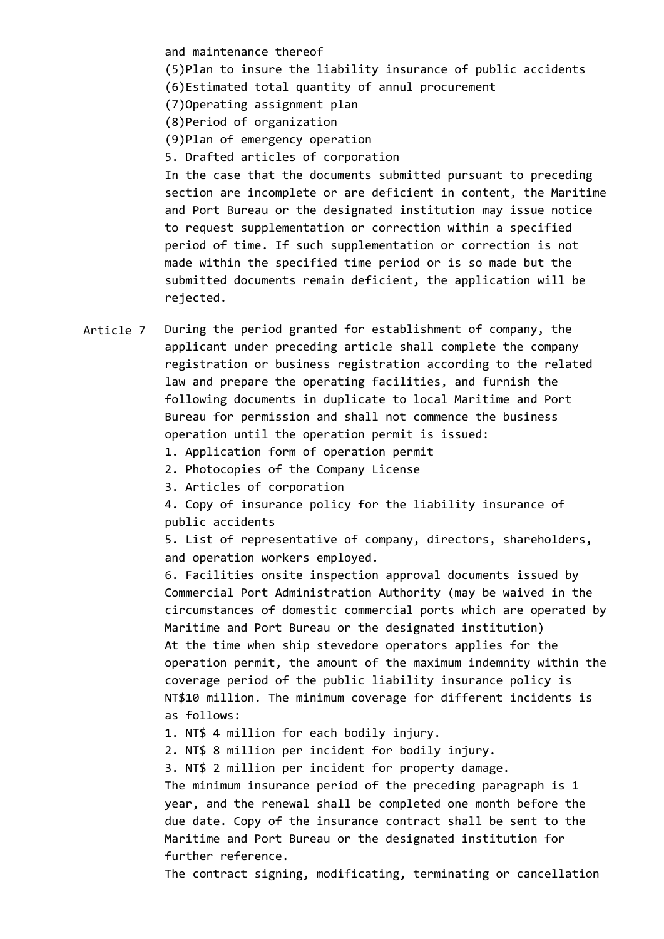and maintenance thereof

(5)Plan to insure the liability insurance of public accidents (6)Estimated total quantity of annul procurement

(7)Operating assignment plan

(8)Period of organization

(9)Plan of emergency operation

5. Drafted articles of corporation

In the case that the documents submitted pursuant to preceding section are incomplete or are deficient in content, the Maritime and Port Bureau or the designated institution may issue notice to request supplementation or correction within a specified period of time. If such supplementation or correction is not made within the specified time period or is so made but the submitted documents remain deficient, the application will be rejected.

Article 7 During the period granted for establishment of company, the applicant under preceding article shall complete the company registration or business registration according to the related law and prepare the operating facilities, and furnish the following documents in duplicate to local Maritime and Port Bureau for permission and shall not commence the business operation until the operation permit is issued:

1. Application form of operation permit

2. Photocopies of the Company License

3. Articles of corporation

4. Copy of insurance policy for the liability insurance of public accidents

5. List of representative of company, directors, shareholders, and operation workers employed.

6. Facilities onsite inspection approval documents issued by Commercial Port Administration Authority (may be waived in the circumstances of domestic commercial ports which are operated by Maritime and Port Bureau or the designated institution) At the time when ship stevedore operators applies for the operation permit, the amount of the maximum indemnity within the coverage period of the public liability insurance policy is NT\$10 million. The minimum coverage for different incidents is as follows:

1. NT\$ 4 million for each bodily injury.

2. NT\$ 8 million per incident for bodily injury.

3. NT\$ 2 million per incident for property damage.

The minimum insurance period of the preceding paragraph is 1 year, and the renewal shall be completed one month before the due date. Copy of the insurance contract shall be sent to the Maritime and Port Bureau or the designated institution for further reference.

The contract signing, modificating, terminating or cancellation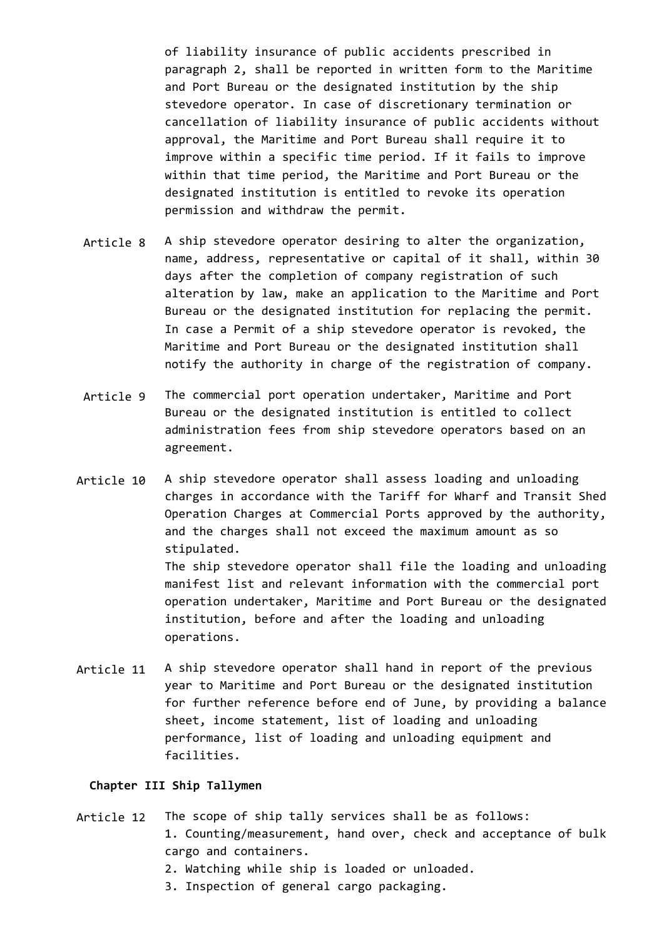of liability insurance of public accidents prescribed in paragraph 2, shall be reported in written form to the Maritime and Port Bureau or the designated institution by the ship stevedore operator. In case of discretionary termination or cancellation of liability insurance of public accidents without approval, the Maritime and Port Bureau shall require it to improve within a specific time period. If it fails to improve within that time period, the Maritime and Port Bureau or the designated institution is entitled to revoke its operation permission and withdraw the permit.

- Article 8 A ship stevedore operator desiring to alter the organization, name, address, representative or capital of it shall, within 30 days after the completion of company registration of such alteration by law, make an application to the Maritime and Port Bureau or the designated institution for replacing the permit. In case a Permit of a ship stevedore operator is revoked, the Maritime and Port Bureau or the designated institution shall notify the authority in charge of the registration of company.
- Article 9 The commercial port operation undertaker, Maritime and Port Bureau or the designated institution is entitled to collect administration fees from ship stevedore operators based on an agreement.
- Article 10 A ship stevedore operator shall assess loading and unloading charges in accordance with the Tariff for Wharf and Transit Shed Operation Charges at Commercial Ports approved by the authority, and the charges shall not exceed the maximum amount as so stipulated. The ship stevedore operator shall file the loading and unloading manifest list and relevant information with the commercial port operation undertaker, Maritime and Port Bureau or the designated institution, before and after the loading and unloading operations.
- Article 11 A ship stevedore operator shall hand in report of the previous year to Maritime and Port Bureau or the designated institution for further reference before end of June, by providing a balance sheet, income statement, list of loading and unloading performance, list of loading and unloading equipment and facilities.

## **Chapter III Ship Tallymen**

- Article 12 The scope of ship tally services shall be as follows: 1. Counting/measurement, hand over, check and acceptance of bulk cargo and containers.
	- 2. Watching while ship is loaded or unloaded.
	- 3. Inspection of general cargo packaging.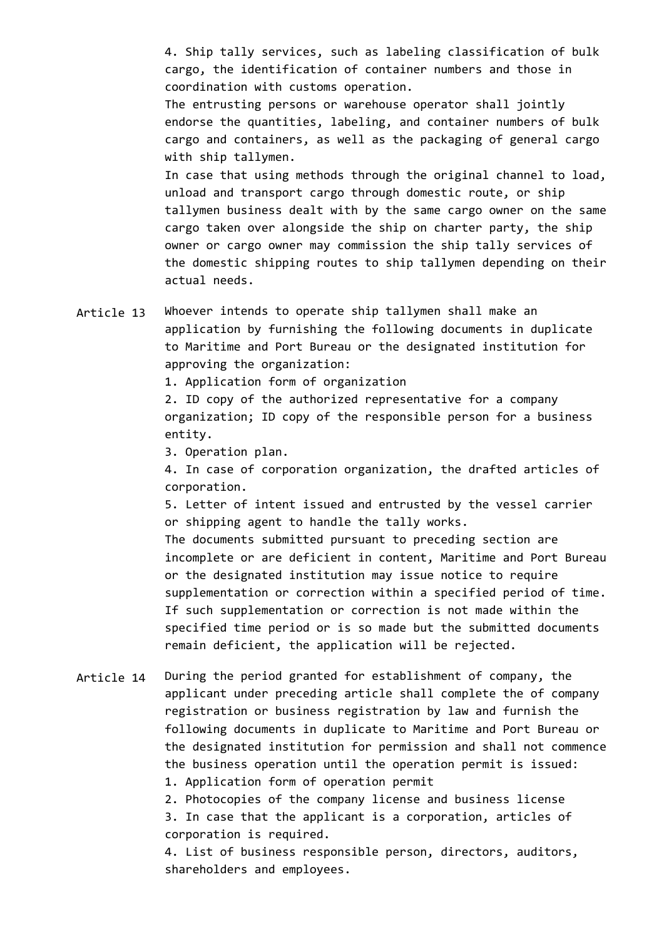4. Ship tally services, such as labeling classification of bulk cargo, the identification of container numbers and those in coordination with customs operation.

The entrusting persons or warehouse operator shall jointly endorse the quantities, labeling, and container numbers of bulk cargo and containers, as well as the packaging of general cargo with ship tallymen.

In case that using methods through the original channel to load, unload and transport cargo through domestic route, or ship tallymen business dealt with by the same cargo owner on the same cargo taken over alongside the ship on charter party, the ship owner or cargo owner may commission the ship tally services of the domestic shipping routes to ship tallymen depending on their actual needs.

Article 13 Whoever intends to operate ship tallymen shall make an application by furnishing the following documents in duplicate to Maritime and Port Bureau or the designated institution for approving the organization:

1. Application form of organization

2. ID copy of the authorized representative for a company organization; ID copy of the responsible person for a business entity.

3. Operation plan.

4. In case of corporation organization, the drafted articles of corporation.

5. Letter of intent issued and entrusted by the vessel carrier or shipping agent to handle the tally works.

The documents submitted pursuant to preceding section are incomplete or are deficient in content, Maritime and Port Bureau or the designated institution may issue notice to require supplementation or correction within a specified period of time. If such supplementation or correction is not made within the specified time period or is so made but the submitted documents remain deficient, the application will be rejected.

Article 14 During the period granted for establishment of company, the applicant under preceding article shall complete the of company registration or business registration by law and furnish the following documents in duplicate to Maritime and Port Bureau or the designated institution for permission and shall not commence the business operation until the operation permit is issued:

1. Application form of operation permit

2. Photocopies of the company license and business license

3. In case that the applicant is a corporation, articles of corporation is required.

4. List of business responsible person, directors, auditors, shareholders and employees.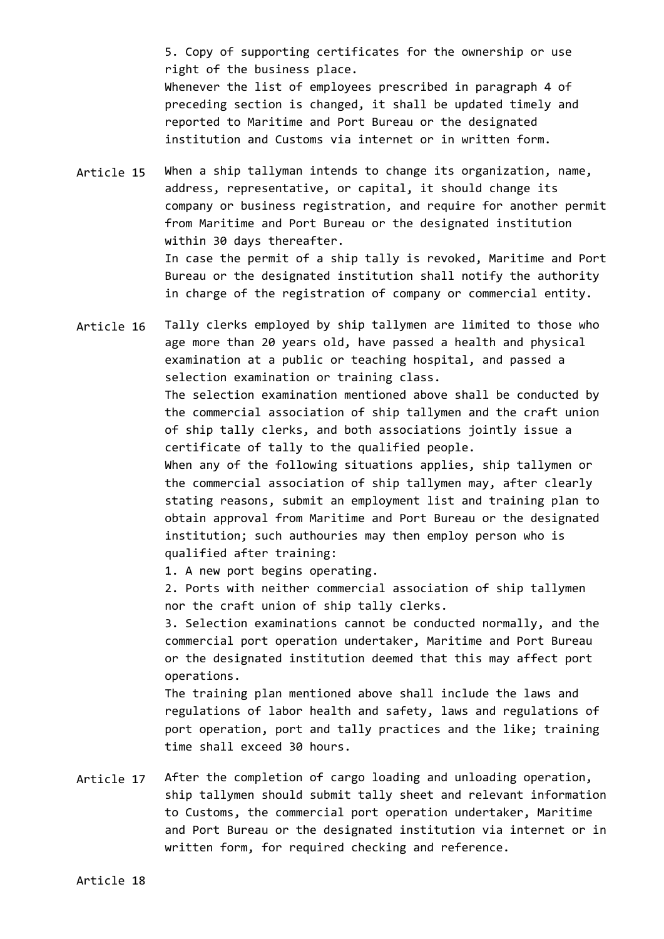5. Copy of supporting certificates for the ownership or use right of the business place. Whenever the list of employees prescribed in paragraph 4 of preceding section is changed, it shall be updated timely and reported to Maritime and Port Bureau or the designated institution and Customs via internet or in written form.

Article 15 When a ship tallyman intends to change its organization, name, address, representative, or capital, it should change its company or business registration, and require for another permit from Maritime and Port Bureau or the designated institution within 30 days thereafter. In case the permit of a ship tally is revoked, Maritime and Port Bureau or the designated institution shall notify the authority in charge of the registration of company or commercial entity.

Article 16 Tally clerks employed by ship tallymen are limited to those who age more than 20 years old, have passed a health and physical examination at a public or teaching hospital, and passed a selection examination or training class. The selection examination mentioned above shall be conducted by the commercial association of ship tallymen and the craft union of ship tally clerks, and both associations jointly issue a certificate of tally to the qualified people. When any of the following situations applies, ship tallymen or the commercial association of ship tallymen may, after clearly stating reasons, submit an employment list and training plan to obtain approval from Maritime and Port Bureau or the designated institution; such authouries may then employ person who is qualified after training:

1. A new port begins operating.

2. Ports with neither commercial association of ship tallymen nor the craft union of ship tally clerks.

3. Selection examinations cannot be conducted normally, and the commercial port operation undertaker, Maritime and Port Bureau or the designated institution deemed that this may affect port operations.

The training plan mentioned above shall include the laws and regulations of labor health and safety, laws and regulations of port operation, port and tally practices and the like; training time shall exceed 30 hours.

Article 17 After the completion of cargo loading and unloading operation, ship tallymen should submit tally sheet and relevant information to Customs, the commercial port operation undertaker, Maritime and Port Bureau or the designated institution via internet or in written form, for required checking and reference.